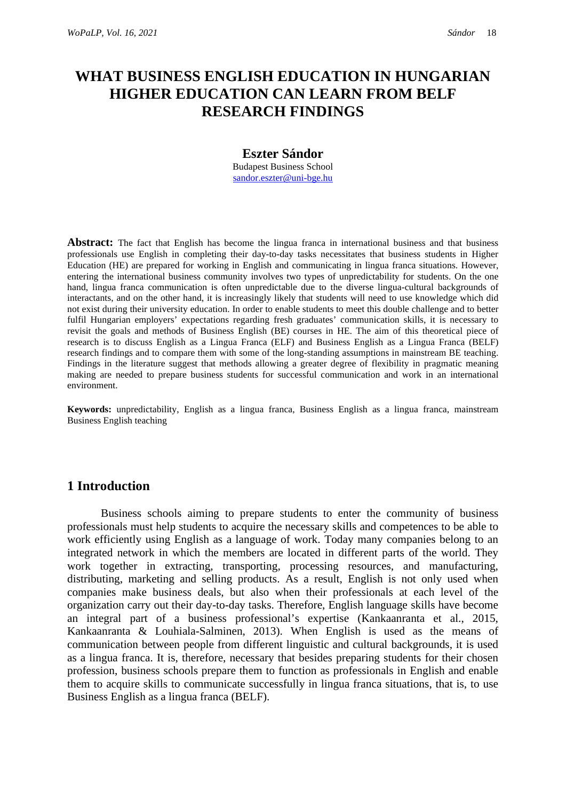# **WHAT BUSINESS ENGLISH EDUCATION IN HUNGARIAN HIGHER EDUCATION CAN LEARN FROM BELF RESEARCH FINDINGS**

#### **Eszter Sándor**

Budapest Business School [sandor.eszter@uni-bge.hu](mailto:sandor.eszter@uni-bge.hu)

**Abstract:** The fact that English has become the lingua franca in international business and that business professionals use English in completing their day-to-day tasks necessitates that business students in Higher Education (HE) are prepared for working in English and communicating in lingua franca situations. However, entering the international business community involves two types of unpredictability for students. On the one hand, lingua franca communication is often unpredictable due to the diverse lingua-cultural backgrounds of interactants, and on the other hand, it is increasingly likely that students will need to use knowledge which did not exist during their university education. In order to enable students to meet this double challenge and to better fulfil Hungarian employers' expectations regarding fresh graduates' communication skills, it is necessary to revisit the goals and methods of Business English (BE) courses in HE. The aim of this theoretical piece of research is to discuss English as a Lingua Franca (ELF) and Business English as a Lingua Franca (BELF) research findings and to compare them with some of the long-standing assumptions in mainstream BE teaching. Findings in the literature suggest that methods allowing a greater degree of flexibility in pragmatic meaning making are needed to prepare business students for successful communication and work in an international environment.

**Keywords:** unpredictability, English as a lingua franca, Business English as a lingua franca, mainstream Business English teaching

### **1 Introduction**

Business schools aiming to prepare students to enter the community of business professionals must help students to acquire the necessary skills and competences to be able to work efficiently using English as a language of work. Today many companies belong to an integrated network in which the members are located in different parts of the world. They work together in extracting, transporting, processing resources, and manufacturing, distributing, marketing and selling products. As a result, English is not only used when companies make business deals, but also when their professionals at each level of the organization carry out their day-to-day tasks. Therefore, English language skills have become an integral part of a business professional's expertise (Kankaanranta et al., 2015, Kankaanranta & Louhiala-Salminen, 2013). When English is used as the means of communication between people from different linguistic and cultural backgrounds, it is used as a lingua franca. It is, therefore, necessary that besides preparing students for their chosen profession, business schools prepare them to function as professionals in English and enable them to acquire skills to communicate successfully in lingua franca situations, that is, to use Business English as a lingua franca (BELF).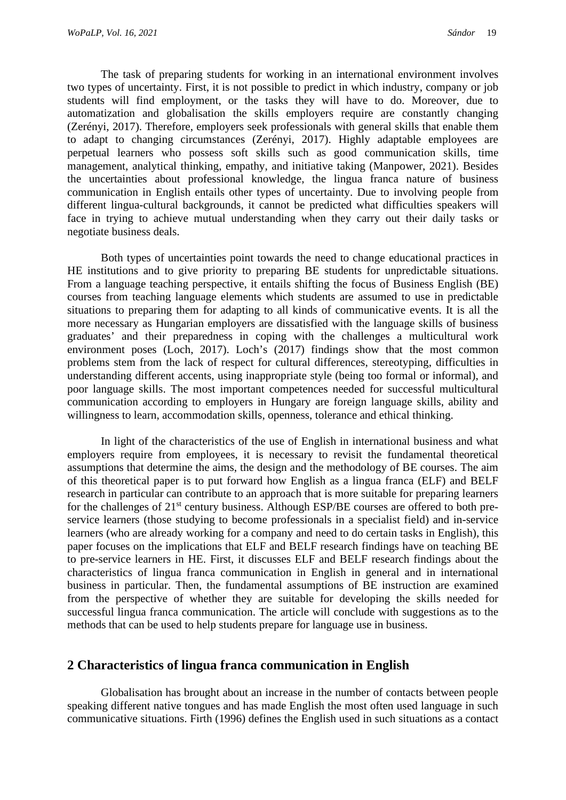The task of preparing students for working in an international environment involves two types of uncertainty. First, it is not possible to predict in which industry, company or job students will find employment, or the tasks they will have to do. Moreover, due to automatization and globalisation the skills employers require are constantly changing (Zerényi, 2017). Therefore, employers seek professionals with general skills that enable them to adapt to changing circumstances (Zerényi, 2017). Highly adaptable employees are perpetual learners who possess soft skills such as good communication skills, time management, analytical thinking, empathy, and initiative taking (Manpower, 2021). Besides the uncertainties about professional knowledge, the lingua franca nature of business communication in English entails other types of uncertainty. Due to involving people from different lingua-cultural backgrounds, it cannot be predicted what difficulties speakers will face in trying to achieve mutual understanding when they carry out their daily tasks or negotiate business deals.

Both types of uncertainties point towards the need to change educational practices in HE institutions and to give priority to preparing BE students for unpredictable situations. From a language teaching perspective, it entails shifting the focus of Business English (BE) courses from teaching language elements which students are assumed to use in predictable situations to preparing them for adapting to all kinds of communicative events. It is all the more necessary as Hungarian employers are dissatisfied with the language skills of business graduates' and their preparedness in coping with the challenges a multicultural work environment poses (Loch, 2017). Loch's (2017) findings show that the most common problems stem from the lack of respect for cultural differences, stereotyping, difficulties in understanding different accents, using inappropriate style (being too formal or informal), and poor language skills. The most important competences needed for successful multicultural communication according to employers in Hungary are foreign language skills, ability and willingness to learn, accommodation skills, openness, tolerance and ethical thinking.

In light of the characteristics of the use of English in international business and what employers require from employees, it is necessary to revisit the fundamental theoretical assumptions that determine the aims, the design and the methodology of BE courses. The aim of this theoretical paper is to put forward how English as a lingua franca (ELF) and BELF research in particular can contribute to an approach that is more suitable for preparing learners for the challenges of 21<sup>st</sup> century business. Although ESP/BE courses are offered to both preservice learners (those studying to become professionals in a specialist field) and in-service learners (who are already working for a company and need to do certain tasks in English), this paper focuses on the implications that ELF and BELF research findings have on teaching BE to pre-service learners in HE. First, it discusses ELF and BELF research findings about the characteristics of lingua franca communication in English in general and in international business in particular. Then, the fundamental assumptions of BE instruction are examined from the perspective of whether they are suitable for developing the skills needed for successful lingua franca communication. The article will conclude with suggestions as to the methods that can be used to help students prepare for language use in business.

#### **2 Characteristics of lingua franca communication in English**

Globalisation has brought about an increase in the number of contacts between people speaking different native tongues and has made English the most often used language in such communicative situations. Firth (1996) defines the English used in such situations as a contact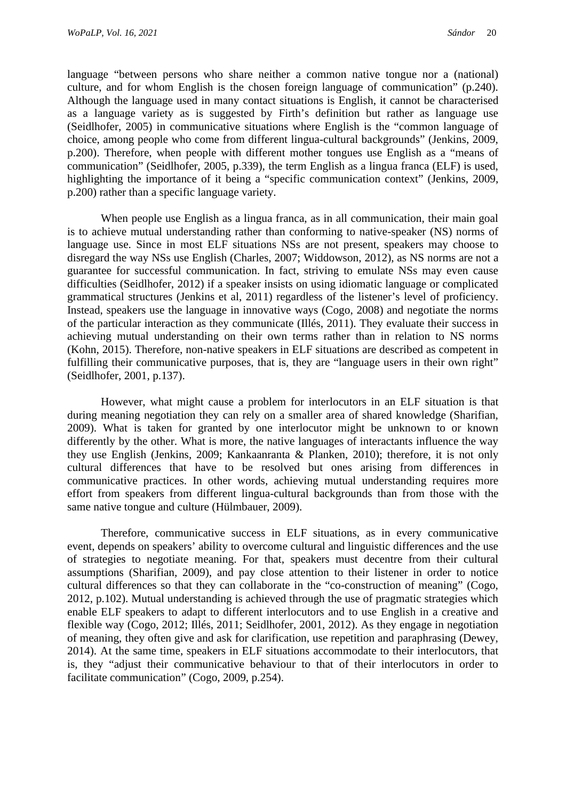language "between persons who share neither a common native tongue nor a (national) culture, and for whom English is the chosen foreign language of communication" (p.240). Although the language used in many contact situations is English, it cannot be characterised as a language variety as is suggested by Firth's definition but rather as language use (Seidlhofer, 2005) in communicative situations where English is the "common language of choice, among people who come from different lingua-cultural backgrounds" (Jenkins, 2009, p.200). Therefore, when people with different mother tongues use English as a "means of communication" (Seidlhofer, 2005, p.339), the term English as a lingua franca (ELF) is used, highlighting the importance of it being a "specific communication context" (Jenkins, 2009, p.200) rather than a specific language variety.

When people use English as a lingua franca, as in all communication, their main goal is to achieve mutual understanding rather than conforming to native-speaker (NS) norms of language use. Since in most ELF situations NSs are not present, speakers may choose to disregard the way NSs use English (Charles, 2007; Widdowson, 2012), as NS norms are not a guarantee for successful communication. In fact, striving to emulate NSs may even cause difficulties (Seidlhofer, 2012) if a speaker insists on using idiomatic language or complicated grammatical structures (Jenkins et al, 2011) regardless of the listener's level of proficiency. Instead, speakers use the language in innovative ways (Cogo, 2008) and negotiate the norms of the particular interaction as they communicate (Illés, 2011). They evaluate their success in achieving mutual understanding on their own terms rather than in relation to NS norms (Kohn, 2015). Therefore, non-native speakers in ELF situations are described as competent in fulfilling their communicative purposes, that is, they are "language users in their own right" (Seidlhofer, 2001, p.137).

However, what might cause a problem for interlocutors in an ELF situation is that during meaning negotiation they can rely on a smaller area of shared knowledge (Sharifian, 2009). What is taken for granted by one interlocutor might be unknown to or known differently by the other. What is more, the native languages of interactants influence the way they use English (Jenkins, 2009; Kankaanranta & Planken, 2010); therefore, it is not only cultural differences that have to be resolved but ones arising from differences in communicative practices. In other words, achieving mutual understanding requires more effort from speakers from different lingua-cultural backgrounds than from those with the same native tongue and culture (Hülmbauer, 2009).

Therefore, communicative success in ELF situations, as in every communicative event, depends on speakers' ability to overcome cultural and linguistic differences and the use of strategies to negotiate meaning. For that, speakers must decentre from their cultural assumptions (Sharifian, 2009), and pay close attention to their listener in order to notice cultural differences so that they can collaborate in the "co-construction of meaning" (Cogo, 2012, p.102). Mutual understanding is achieved through the use of pragmatic strategies which enable ELF speakers to adapt to different interlocutors and to use English in a creative and flexible way (Cogo, 2012; Illés, 2011; Seidlhofer, 2001, 2012). As they engage in negotiation of meaning, they often give and ask for clarification, use repetition and paraphrasing (Dewey, 2014). At the same time, speakers in ELF situations accommodate to their interlocutors, that is, they "adjust their communicative behaviour to that of their interlocutors in order to facilitate communication" (Cogo, 2009, p.254).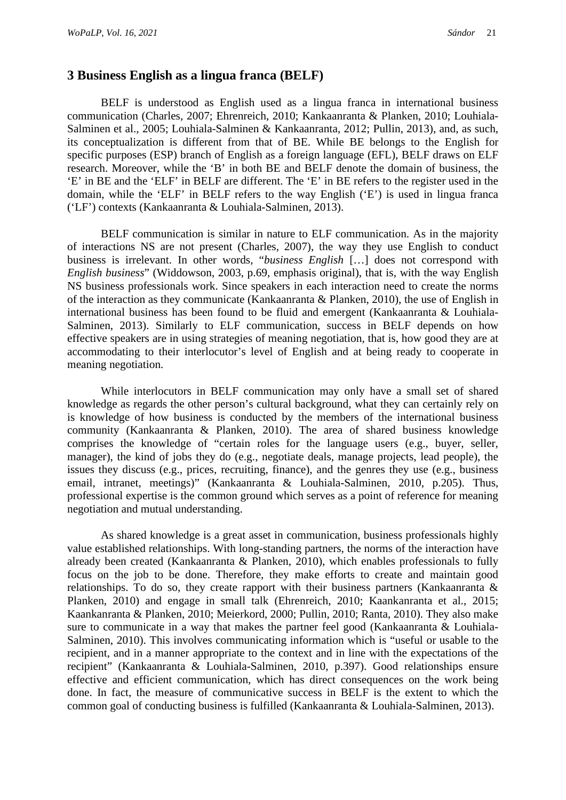#### **3 Business English as a lingua franca (BELF)**

BELF is understood as English used as a lingua franca in international business communication (Charles, 2007; Ehrenreich, 2010; Kankaanranta & Planken, 2010; Louhiala-Salminen et al., 2005; Louhiala-Salminen & Kankaanranta, 2012; Pullin, 2013), and, as such, its conceptualization is different from that of BE. While BE belongs to the English for specific purposes (ESP) branch of English as a foreign language (EFL), BELF draws on ELF research. Moreover, while the 'B' in both BE and BELF denote the domain of business, the 'E' in BE and the 'ELF' in BELF are different. The 'E' in BE refers to the register used in the domain, while the 'ELF' in BELF refers to the way English ('E') is used in lingua franca ('LF') contexts (Kankaanranta & Louhiala-Salminen, 2013).

BELF communication is similar in nature to ELF communication. As in the majority of interactions NS are not present (Charles, 2007), the way they use English to conduct business is irrelevant. In other words, "*business English* […] does not correspond with *English business*" (Widdowson, 2003, p.69, emphasis original), that is, with the way English NS business professionals work. Since speakers in each interaction need to create the norms of the interaction as they communicate (Kankaanranta & Planken, 2010), the use of English in international business has been found to be fluid and emergent (Kankaanranta & Louhiala-Salminen, 2013). Similarly to ELF communication, success in BELF depends on how effective speakers are in using strategies of meaning negotiation, that is, how good they are at accommodating to their interlocutor's level of English and at being ready to cooperate in meaning negotiation.

While interlocutors in BELF communication may only have a small set of shared knowledge as regards the other person's cultural background, what they can certainly rely on is knowledge of how business is conducted by the members of the international business community (Kankaanranta & Planken, 2010). The area of shared business knowledge comprises the knowledge of "certain roles for the language users (e.g., buyer, seller, manager), the kind of jobs they do (e.g., negotiate deals, manage projects, lead people), the issues they discuss (e.g., prices, recruiting, finance), and the genres they use (e.g., business email, intranet, meetings)" (Kankaanranta & Louhiala-Salminen, 2010, p.205). Thus, professional expertise is the common ground which serves as a point of reference for meaning negotiation and mutual understanding.

As shared knowledge is a great asset in communication, business professionals highly value established relationships. With long-standing partners, the norms of the interaction have already been created (Kankaanranta & Planken, 2010), which enables professionals to fully focus on the job to be done. Therefore, they make efforts to create and maintain good relationships. To do so, they create rapport with their business partners (Kankaanranta & Planken, 2010) and engage in small talk (Ehrenreich, 2010; Kaankanranta et al., 2015; Kaankanranta & Planken, 2010; Meierkord, 2000; Pullin, 2010; Ranta, 2010). They also make sure to communicate in a way that makes the partner feel good (Kankaanranta & Louhiala-Salminen, 2010). This involves communicating information which is "useful or usable to the recipient, and in a manner appropriate to the context and in line with the expectations of the recipient" (Kankaanranta & Louhiala-Salminen, 2010, p.397). Good relationships ensure effective and efficient communication, which has direct consequences on the work being done. In fact, the measure of communicative success in BELF is the extent to which the common goal of conducting business is fulfilled (Kankaanranta & Louhiala-Salminen, 2013).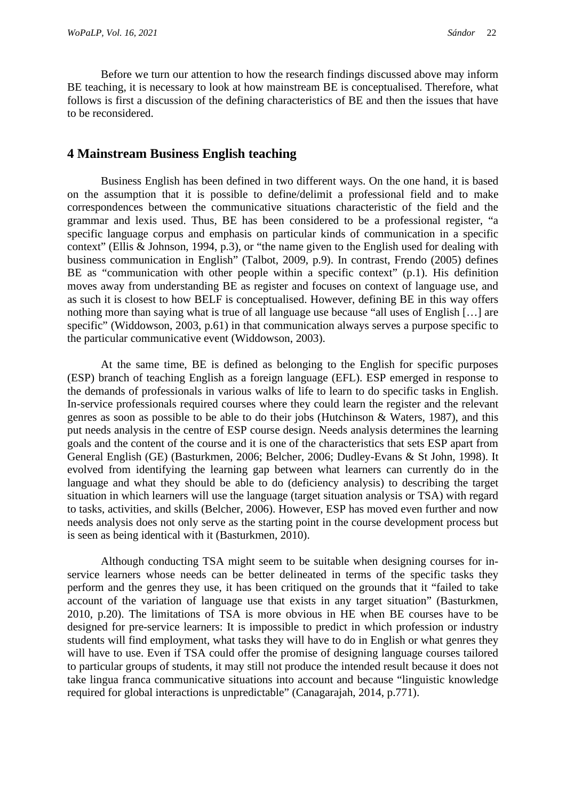Before we turn our attention to how the research findings discussed above may inform BE teaching, it is necessary to look at how mainstream BE is conceptualised. Therefore, what follows is first a discussion of the defining characteristics of BE and then the issues that have to be reconsidered.

### **4 Mainstream Business English teaching**

Business English has been defined in two different ways. On the one hand, it is based on the assumption that it is possible to define/delimit a professional field and to make correspondences between the communicative situations characteristic of the field and the grammar and lexis used. Thus, BE has been considered to be a professional register, "a specific language corpus and emphasis on particular kinds of communication in a specific context" (Ellis & Johnson, 1994, p.3), or "the name given to the English used for dealing with business communication in English" (Talbot, 2009, p.9). In contrast, Frendo (2005) defines BE as "communication with other people within a specific context" (p.1). His definition moves away from understanding BE as register and focuses on context of language use, and as such it is closest to how BELF is conceptualised. However, defining BE in this way offers nothing more than saying what is true of all language use because "all uses of English […] are specific" (Widdowson, 2003, p.61) in that communication always serves a purpose specific to the particular communicative event (Widdowson, 2003).

At the same time, BE is defined as belonging to the English for specific purposes (ESP) branch of teaching English as a foreign language (EFL). ESP emerged in response to the demands of professionals in various walks of life to learn to do specific tasks in English. In-service professionals required courses where they could learn the register and the relevant genres as soon as possible to be able to do their jobs (Hutchinson & Waters, 1987), and this put needs analysis in the centre of ESP course design. Needs analysis determines the learning goals and the content of the course and it is one of the characteristics that sets ESP apart from General English (GE) (Basturkmen, 2006; Belcher, 2006; Dudley-Evans & St John, 1998). It evolved from identifying the learning gap between what learners can currently do in the language and what they should be able to do (deficiency analysis) to describing the target situation in which learners will use the language (target situation analysis or TSA) with regard to tasks, activities, and skills (Belcher, 2006). However, ESP has moved even further and now needs analysis does not only serve as the starting point in the course development process but is seen as being identical with it (Basturkmen, 2010).

Although conducting TSA might seem to be suitable when designing courses for inservice learners whose needs can be better delineated in terms of the specific tasks they perform and the genres they use, it has been critiqued on the grounds that it "failed to take account of the variation of language use that exists in any target situation" (Basturkmen, 2010, p.20). The limitations of TSA is more obvious in HE when BE courses have to be designed for pre-service learners: It is impossible to predict in which profession or industry students will find employment, what tasks they will have to do in English or what genres they will have to use. Even if TSA could offer the promise of designing language courses tailored to particular groups of students, it may still not produce the intended result because it does not take lingua franca communicative situations into account and because "linguistic knowledge required for global interactions is unpredictable" (Canagarajah, 2014, p.771).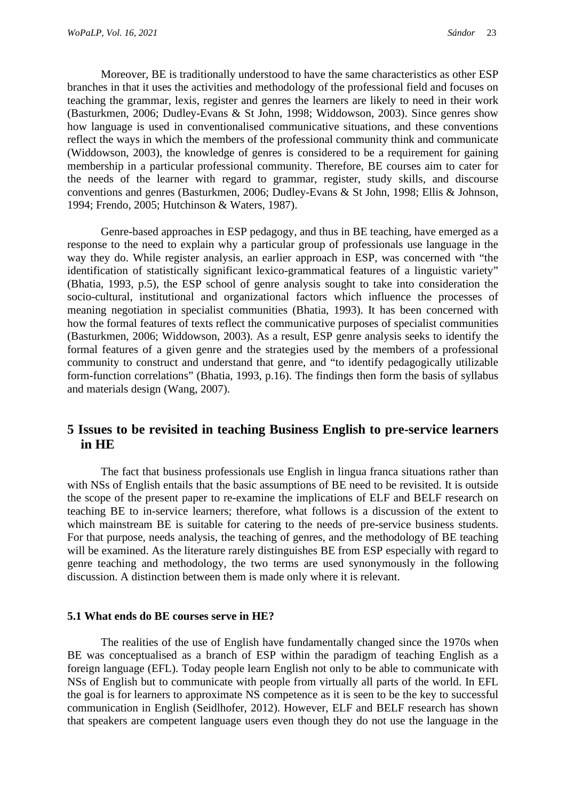Moreover, BE is traditionally understood to have the same characteristics as other ESP branches in that it uses the activities and methodology of the professional field and focuses on teaching the grammar, lexis, register and genres the learners are likely to need in their work (Basturkmen, 2006; Dudley-Evans & St John, 1998; Widdowson, 2003). Since genres show how language is used in conventionalised communicative situations, and these conventions reflect the ways in which the members of the professional community think and communicate (Widdowson, 2003), the knowledge of genres is considered to be a requirement for gaining membership in a particular professional community. Therefore, BE courses aim to cater for the needs of the learner with regard to grammar, register, study skills, and discourse conventions and genres (Basturkmen, 2006; Dudley-Evans & St John, 1998; Ellis & Johnson, 1994; Frendo, 2005; Hutchinson & Waters, 1987).

Genre-based approaches in ESP pedagogy, and thus in BE teaching, have emerged as a response to the need to explain why a particular group of professionals use language in the way they do. While register analysis, an earlier approach in ESP, was concerned with "the identification of statistically significant lexico-grammatical features of a linguistic variety" (Bhatia, 1993, p.5), the ESP school of genre analysis sought to take into consideration the socio-cultural, institutional and organizational factors which influence the processes of meaning negotiation in specialist communities (Bhatia, 1993). It has been concerned with how the formal features of texts reflect the communicative purposes of specialist communities (Basturkmen, 2006; Widdowson, 2003). As a result, ESP genre analysis seeks to identify the formal features of a given genre and the strategies used by the members of a professional community to construct and understand that genre, and "to identify pedagogically utilizable form-function correlations" (Bhatia, 1993, p.16). The findings then form the basis of syllabus and materials design (Wang, 2007).

# **5 Issues to be revisited in teaching Business English to pre-service learners in HE**

The fact that business professionals use English in lingua franca situations rather than with NSs of English entails that the basic assumptions of BE need to be revisited. It is outside the scope of the present paper to re-examine the implications of ELF and BELF research on teaching BE to in-service learners; therefore, what follows is a discussion of the extent to which mainstream BE is suitable for catering to the needs of pre-service business students. For that purpose, needs analysis, the teaching of genres, and the methodology of BE teaching will be examined. As the literature rarely distinguishes BE from ESP especially with regard to genre teaching and methodology, the two terms are used synonymously in the following discussion. A distinction between them is made only where it is relevant.

#### **5.1 What ends do BE courses serve in HE?**

The realities of the use of English have fundamentally changed since the 1970s when BE was conceptualised as a branch of ESP within the paradigm of teaching English as a foreign language (EFL). Today people learn English not only to be able to communicate with NSs of English but to communicate with people from virtually all parts of the world. In EFL the goal is for learners to approximate NS competence as it is seen to be the key to successful communication in English (Seidlhofer, 2012). However, ELF and BELF research has shown that speakers are competent language users even though they do not use the language in the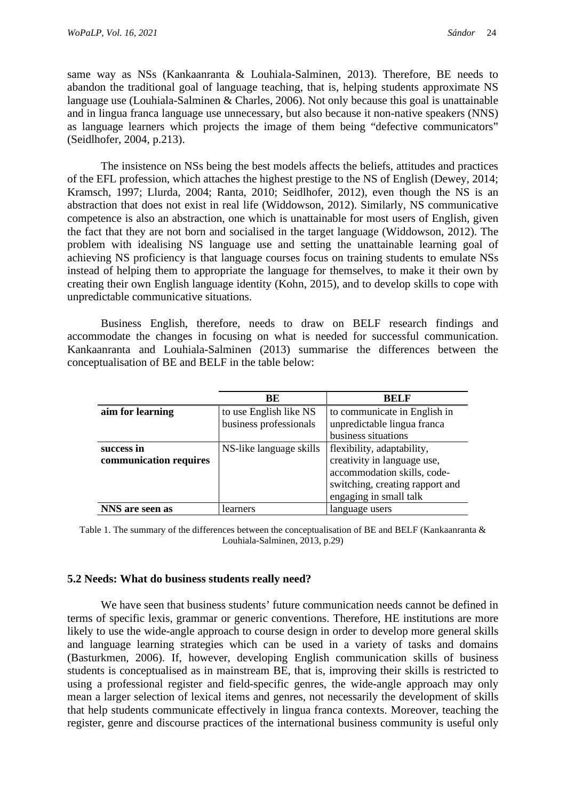same way as NSs (Kankaanranta & Louhiala-Salminen, 2013). Therefore, BE needs to abandon the traditional goal of language teaching, that is, helping students approximate NS language use (Louhiala-Salminen & Charles, 2006). Not only because this goal is unattainable and in lingua franca language use unnecessary, but also because it non-native speakers (NNS) as language learners which projects the image of them being "defective communicators" (Seidlhofer, 2004, p.213).

The insistence on NSs being the best models affects the beliefs, attitudes and practices of the EFL profession, which attaches the highest prestige to the NS of English (Dewey, 2014; Kramsch, 1997; Llurda, 2004; Ranta, 2010; Seidlhofer, 2012), even though the NS is an abstraction that does not exist in real life (Widdowson, 2012). Similarly, NS communicative competence is also an abstraction, one which is unattainable for most users of English, given the fact that they are not born and socialised in the target language (Widdowson, 2012). The problem with idealising NS language use and setting the unattainable learning goal of achieving NS proficiency is that language courses focus on training students to emulate NSs instead of helping them to appropriate the language for themselves, to make it their own by creating their own English language identity (Kohn, 2015), and to develop skills to cope with unpredictable communicative situations.

Business English, therefore, needs to draw on BELF research findings and accommodate the changes in focusing on what is needed for successful communication. Kankaanranta and Louhiala-Salminen (2013) summarise the differences between the conceptualisation of BE and BELF in the table below:

|                        | BE                      | <b>BELF</b>                     |
|------------------------|-------------------------|---------------------------------|
| aim for learning       | to use English like NS  | to communicate in English in    |
|                        | business professionals  | unpredictable lingua franca     |
|                        |                         | business situations             |
| success in             | NS-like language skills | flexibility, adaptability,      |
| communication requires |                         | creativity in language use,     |
|                        |                         | accommodation skills, code-     |
|                        |                         | switching, creating rapport and |
|                        |                         | engaging in small talk          |
| NNS are seen as        | learners                | language users                  |

Table 1. The summary of the differences between the conceptualisation of BE and BELF (Kankaanranta & Louhiala-Salminen, 2013, p.29)

#### **5.2 Needs: What do business students really need?**

We have seen that business students' future communication needs cannot be defined in terms of specific lexis, grammar or generic conventions. Therefore, HE institutions are more likely to use the wide-angle approach to course design in order to develop more general skills and language learning strategies which can be used in a variety of tasks and domains (Basturkmen, 2006). If, however, developing English communication skills of business students is conceptualised as in mainstream BE, that is, improving their skills is restricted to using a professional register and field-specific genres, the wide-angle approach may only mean a larger selection of lexical items and genres, not necessarily the development of skills that help students communicate effectively in lingua franca contexts. Moreover, teaching the register, genre and discourse practices of the international business community is useful only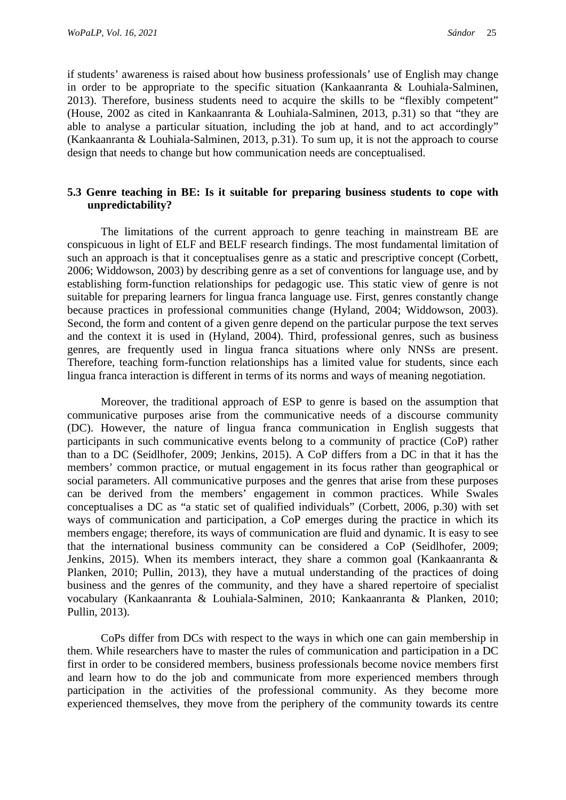if students' awareness is raised about how business professionals' use of English may change in order to be appropriate to the specific situation (Kankaanranta & Louhiala-Salminen, 2013). Therefore, business students need to acquire the skills to be "flexibly competent" (House, 2002 as cited in Kankaanranta & Louhiala-Salminen, 2013, p.31) so that "they are able to analyse a particular situation, including the job at hand, and to act accordingly" (Kankaanranta & Louhiala-Salminen, 2013, p.31). To sum up, it is not the approach to course design that needs to change but how communication needs are conceptualised.

#### **5.3 Genre teaching in BE: Is it suitable for preparing business students to cope with unpredictability?**

The limitations of the current approach to genre teaching in mainstream BE are conspicuous in light of ELF and BELF research findings. The most fundamental limitation of such an approach is that it conceptualises genre as a static and prescriptive concept (Corbett, 2006; Widdowson, 2003) by describing genre as a set of conventions for language use, and by establishing form-function relationships for pedagogic use. This static view of genre is not suitable for preparing learners for lingua franca language use. First, genres constantly change because practices in professional communities change (Hyland, 2004; Widdowson, 2003). Second, the form and content of a given genre depend on the particular purpose the text serves and the context it is used in (Hyland, 2004). Third, professional genres, such as business genres, are frequently used in lingua franca situations where only NNSs are present. Therefore, teaching form-function relationships has a limited value for students, since each lingua franca interaction is different in terms of its norms and ways of meaning negotiation.

Moreover, the traditional approach of ESP to genre is based on the assumption that communicative purposes arise from the communicative needs of a discourse community (DC). However, the nature of lingua franca communication in English suggests that participants in such communicative events belong to a community of practice (CoP) rather than to a DC (Seidlhofer, 2009; Jenkins, 2015). A CoP differs from a DC in that it has the members' common practice, or mutual engagement in its focus rather than geographical or social parameters. All communicative purposes and the genres that arise from these purposes can be derived from the members' engagement in common practices. While Swales conceptualises a DC as "a static set of qualified individuals" (Corbett, 2006, p.30) with set ways of communication and participation, a CoP emerges during the practice in which its members engage; therefore, its ways of communication are fluid and dynamic. It is easy to see that the international business community can be considered a CoP (Seidlhofer, 2009; Jenkins, 2015). When its members interact, they share a common goal (Kankaanranta  $\&$ Planken, 2010; Pullin, 2013), they have a mutual understanding of the practices of doing business and the genres of the community, and they have a shared repertoire of specialist vocabulary (Kankaanranta & Louhiala-Salminen, 2010; Kankaanranta & Planken, 2010; Pullin, 2013).

CoPs differ from DCs with respect to the ways in which one can gain membership in them. While researchers have to master the rules of communication and participation in a DC first in order to be considered members, business professionals become novice members first and learn how to do the job and communicate from more experienced members through participation in the activities of the professional community. As they become more experienced themselves, they move from the periphery of the community towards its centre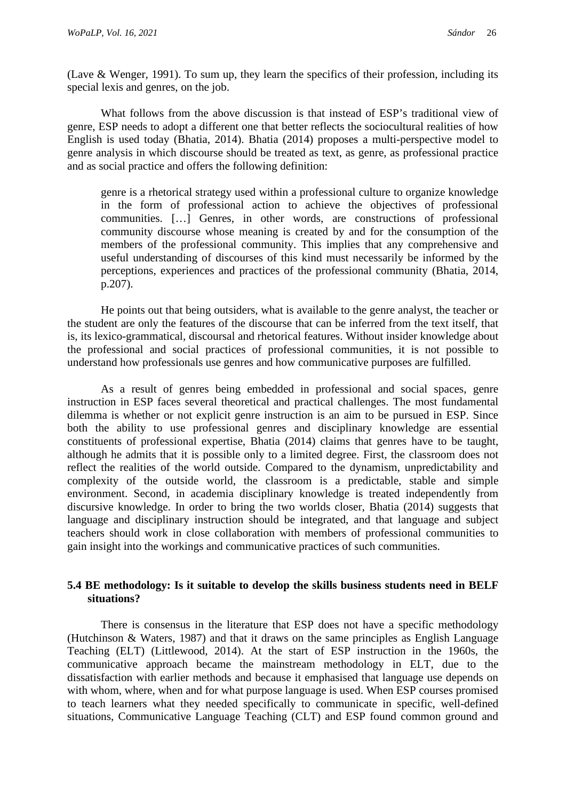(Lave & Wenger, 1991). To sum up, they learn the specifics of their profession, including its special lexis and genres, on the job.

What follows from the above discussion is that instead of ESP's traditional view of genre, ESP needs to adopt a different one that better reflects the sociocultural realities of how English is used today (Bhatia, 2014). Bhatia (2014) proposes a multi-perspective model to genre analysis in which discourse should be treated as text, as genre, as professional practice and as social practice and offers the following definition:

genre is a rhetorical strategy used within a professional culture to organize knowledge in the form of professional action to achieve the objectives of professional communities. […] Genres, in other words, are constructions of professional community discourse whose meaning is created by and for the consumption of the members of the professional community. This implies that any comprehensive and useful understanding of discourses of this kind must necessarily be informed by the perceptions, experiences and practices of the professional community (Bhatia, 2014, p.207).

He points out that being outsiders, what is available to the genre analyst, the teacher or the student are only the features of the discourse that can be inferred from the text itself, that is, its lexico-grammatical, discoursal and rhetorical features. Without insider knowledge about the professional and social practices of professional communities, it is not possible to understand how professionals use genres and how communicative purposes are fulfilled.

As a result of genres being embedded in professional and social spaces, genre instruction in ESP faces several theoretical and practical challenges. The most fundamental dilemma is whether or not explicit genre instruction is an aim to be pursued in ESP. Since both the ability to use professional genres and disciplinary knowledge are essential constituents of professional expertise, Bhatia (2014) claims that genres have to be taught, although he admits that it is possible only to a limited degree. First, the classroom does not reflect the realities of the world outside. Compared to the dynamism, unpredictability and complexity of the outside world, the classroom is a predictable, stable and simple environment. Second, in academia disciplinary knowledge is treated independently from discursive knowledge. In order to bring the two worlds closer, Bhatia (2014) suggests that language and disciplinary instruction should be integrated, and that language and subject teachers should work in close collaboration with members of professional communities to gain insight into the workings and communicative practices of such communities.

#### **5.4 BE methodology: Is it suitable to develop the skills business students need in BELF situations?**

There is consensus in the literature that ESP does not have a specific methodology (Hutchinson & Waters, 1987) and that it draws on the same principles as English Language Teaching (ELT) (Littlewood, 2014). At the start of ESP instruction in the 1960s, the communicative approach became the mainstream methodology in ELT, due to the dissatisfaction with earlier methods and because it emphasised that language use depends on with whom, where, when and for what purpose language is used. When ESP courses promised to teach learners what they needed specifically to communicate in specific, well-defined situations, Communicative Language Teaching (CLT) and ESP found common ground and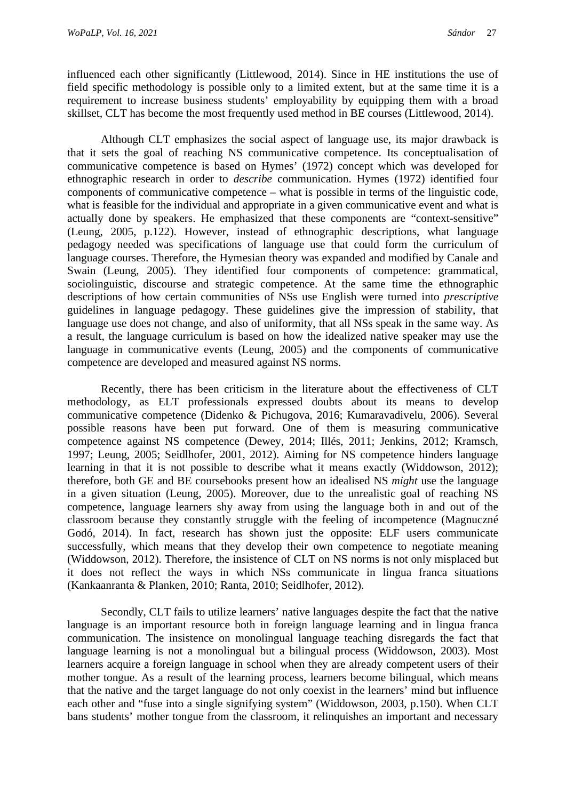influenced each other significantly (Littlewood, 2014). Since in HE institutions the use of field specific methodology is possible only to a limited extent, but at the same time it is a requirement to increase business students' employability by equipping them with a broad skillset, CLT has become the most frequently used method in BE courses (Littlewood, 2014).

Although CLT emphasizes the social aspect of language use, its major drawback is that it sets the goal of reaching NS communicative competence. Its conceptualisation of communicative competence is based on Hymes' (1972) concept which was developed for ethnographic research in order to *describe* communication. Hymes (1972) identified four components of communicative competence – what is possible in terms of the linguistic code, what is feasible for the individual and appropriate in a given communicative event and what is actually done by speakers. He emphasized that these components are "context-sensitive" (Leung, 2005, p.122). However, instead of ethnographic descriptions, what language pedagogy needed was specifications of language use that could form the curriculum of language courses. Therefore, the Hymesian theory was expanded and modified by Canale and Swain (Leung, 2005). They identified four components of competence: grammatical, sociolinguistic, discourse and strategic competence. At the same time the ethnographic descriptions of how certain communities of NSs use English were turned into *prescriptive* guidelines in language pedagogy. These guidelines give the impression of stability, that language use does not change, and also of uniformity, that all NSs speak in the same way. As a result, the language curriculum is based on how the idealized native speaker may use the language in communicative events (Leung, 2005) and the components of communicative competence are developed and measured against NS norms.

Recently, there has been criticism in the literature about the effectiveness of CLT methodology, as ELT professionals expressed doubts about its means to develop communicative competence (Didenko & Pichugova, 2016; Kumaravadivelu, 2006). Several possible reasons have been put forward. One of them is measuring communicative competence against NS competence (Dewey, 2014; Illés, 2011; Jenkins, 2012; Kramsch, 1997; Leung, 2005; Seidlhofer, 2001, 2012). Aiming for NS competence hinders language learning in that it is not possible to describe what it means exactly (Widdowson, 2012); therefore, both GE and BE coursebooks present how an idealised NS *might* use the language in a given situation (Leung, 2005). Moreover, due to the unrealistic goal of reaching NS competence, language learners shy away from using the language both in and out of the classroom because they constantly struggle with the feeling of incompetence (Magnuczné Godó, 2014). In fact, research has shown just the opposite: ELF users communicate successfully, which means that they develop their own competence to negotiate meaning (Widdowson, 2012). Therefore, the insistence of CLT on NS norms is not only misplaced but it does not reflect the ways in which NSs communicate in lingua franca situations (Kankaanranta & Planken, 2010; Ranta, 2010; Seidlhofer, 2012).

Secondly, CLT fails to utilize learners' native languages despite the fact that the native language is an important resource both in foreign language learning and in lingua franca communication. The insistence on monolingual language teaching disregards the fact that language learning is not a monolingual but a bilingual process (Widdowson, 2003). Most learners acquire a foreign language in school when they are already competent users of their mother tongue. As a result of the learning process, learners become bilingual, which means that the native and the target language do not only coexist in the learners' mind but influence each other and "fuse into a single signifying system" (Widdowson, 2003, p.150). When CLT bans students' mother tongue from the classroom, it relinquishes an important and necessary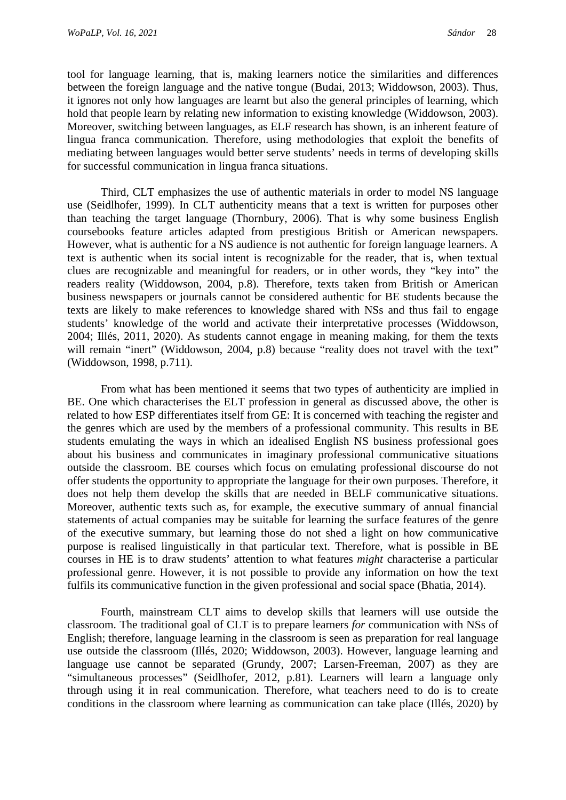tool for language learning, that is, making learners notice the similarities and differences between the foreign language and the native tongue (Budai, 2013; Widdowson, 2003). Thus, it ignores not only how languages are learnt but also the general principles of learning, which hold that people learn by relating new information to existing knowledge (Widdowson, 2003). Moreover, switching between languages, as ELF research has shown, is an inherent feature of lingua franca communication. Therefore, using methodologies that exploit the benefits of mediating between languages would better serve students' needs in terms of developing skills for successful communication in lingua franca situations.

Third, CLT emphasizes the use of authentic materials in order to model NS language use (Seidlhofer, 1999). In CLT authenticity means that a text is written for purposes other than teaching the target language (Thornbury, 2006). That is why some business English coursebooks feature articles adapted from prestigious British or American newspapers. However, what is authentic for a NS audience is not authentic for foreign language learners. A text is authentic when its social intent is recognizable for the reader, that is, when textual clues are recognizable and meaningful for readers, or in other words, they "key into" the readers reality (Widdowson, 2004, p.8). Therefore, texts taken from British or American business newspapers or journals cannot be considered authentic for BE students because the texts are likely to make references to knowledge shared with NSs and thus fail to engage students' knowledge of the world and activate their interpretative processes (Widdowson, 2004; Illés, 2011, 2020). As students cannot engage in meaning making, for them the texts will remain "inert" (Widdowson, 2004, p.8) because "reality does not travel with the text" (Widdowson, 1998, p.711).

From what has been mentioned it seems that two types of authenticity are implied in BE. One which characterises the ELT profession in general as discussed above, the other is related to how ESP differentiates itself from GE: It is concerned with teaching the register and the genres which are used by the members of a professional community. This results in BE students emulating the ways in which an idealised English NS business professional goes about his business and communicates in imaginary professional communicative situations outside the classroom. BE courses which focus on emulating professional discourse do not offer students the opportunity to appropriate the language for their own purposes. Therefore, it does not help them develop the skills that are needed in BELF communicative situations. Moreover, authentic texts such as, for example, the executive summary of annual financial statements of actual companies may be suitable for learning the surface features of the genre of the executive summary, but learning those do not shed a light on how communicative purpose is realised linguistically in that particular text. Therefore, what is possible in BE courses in HE is to draw students' attention to what features *might* characterise a particular professional genre. However, it is not possible to provide any information on how the text fulfils its communicative function in the given professional and social space (Bhatia, 2014).

Fourth, mainstream CLT aims to develop skills that learners will use outside the classroom. The traditional goal of CLT is to prepare learners *for* communication with NSs of English; therefore, language learning in the classroom is seen as preparation for real language use outside the classroom (Illés, 2020; Widdowson, 2003). However, language learning and language use cannot be separated (Grundy, 2007; Larsen-Freeman, 2007) as they are "simultaneous processes" (Seidlhofer, 2012, p.81). Learners will learn a language only through using it in real communication. Therefore, what teachers need to do is to create conditions in the classroom where learning as communication can take place (Illés, 2020) by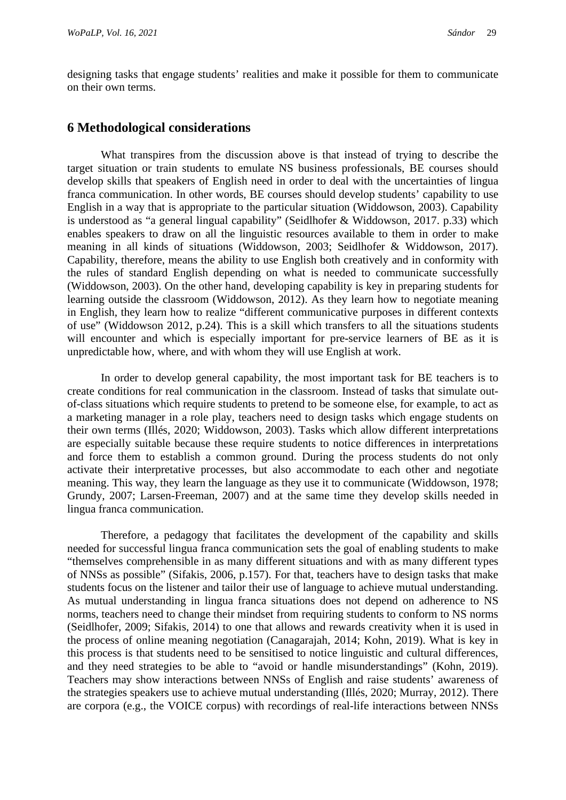designing tasks that engage students' realities and make it possible for them to communicate on their own terms.

#### **6 Methodological considerations**

What transpires from the discussion above is that instead of trying to describe the target situation or train students to emulate NS business professionals, BE courses should develop skills that speakers of English need in order to deal with the uncertainties of lingua franca communication. In other words, BE courses should develop students' capability to use English in a way that is appropriate to the particular situation (Widdowson, 2003). Capability is understood as "a general lingual capability" (Seidlhofer & Widdowson, 2017. p.33) which enables speakers to draw on all the linguistic resources available to them in order to make meaning in all kinds of situations (Widdowson, 2003; Seidlhofer & Widdowson, 2017). Capability, therefore, means the ability to use English both creatively and in conformity with the rules of standard English depending on what is needed to communicate successfully (Widdowson, 2003). On the other hand, developing capability is key in preparing students for learning outside the classroom (Widdowson, 2012). As they learn how to negotiate meaning in English, they learn how to realize "different communicative purposes in different contexts of use" (Widdowson 2012, p.24). This is a skill which transfers to all the situations students will encounter and which is especially important for pre-service learners of BE as it is unpredictable how, where, and with whom they will use English at work.

In order to develop general capability, the most important task for BE teachers is to create conditions for real communication in the classroom. Instead of tasks that simulate outof-class situations which require students to pretend to be someone else, for example, to act as a marketing manager in a role play, teachers need to design tasks which engage students on their own terms (Illés, 2020; Widdowson, 2003). Tasks which allow different interpretations are especially suitable because these require students to notice differences in interpretations and force them to establish a common ground. During the process students do not only activate their interpretative processes, but also accommodate to each other and negotiate meaning. This way, they learn the language as they use it to communicate (Widdowson, 1978; Grundy, 2007; Larsen-Freeman, 2007) and at the same time they develop skills needed in lingua franca communication.

Therefore, a pedagogy that facilitates the development of the capability and skills needed for successful lingua franca communication sets the goal of enabling students to make "themselves comprehensible in as many different situations and with as many different types of NNSs as possible" (Sifakis, 2006, p.157). For that, teachers have to design tasks that make students focus on the listener and tailor their use of language to achieve mutual understanding. As mutual understanding in lingua franca situations does not depend on adherence to NS norms, teachers need to change their mindset from requiring students to conform to NS norms (Seidlhofer, 2009; Sifakis, 2014) to one that allows and rewards creativity when it is used in the process of online meaning negotiation (Canagarajah, 2014; Kohn, 2019). What is key in this process is that students need to be sensitised to notice linguistic and cultural differences, and they need strategies to be able to "avoid or handle misunderstandings" (Kohn, 2019). Teachers may show interactions between NNSs of English and raise students' awareness of the strategies speakers use to achieve mutual understanding (Illés, 2020; Murray, 2012). There are corpora (e.g., the VOICE corpus) with recordings of real-life interactions between NNSs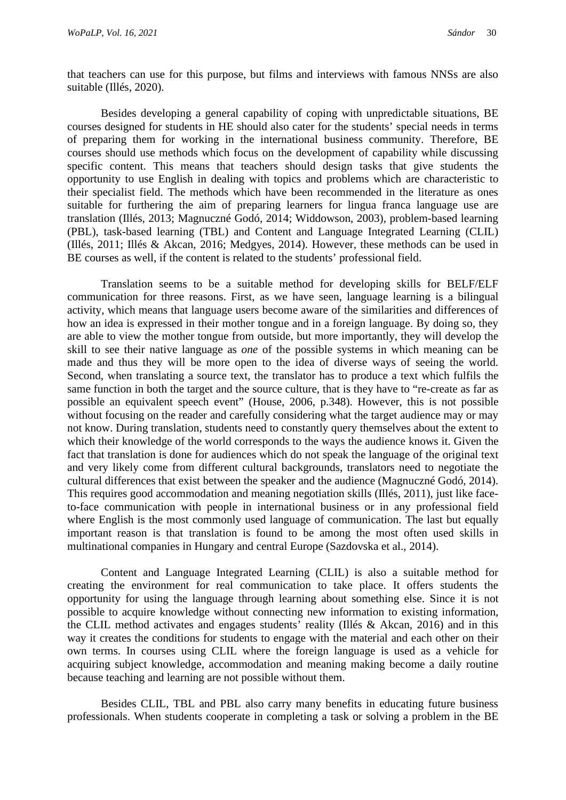that teachers can use for this purpose, but films and interviews with famous NNSs are also suitable (Illés, 2020).

Besides developing a general capability of coping with unpredictable situations, BE courses designed for students in HE should also cater for the students' special needs in terms of preparing them for working in the international business community. Therefore, BE courses should use methods which focus on the development of capability while discussing specific content. This means that teachers should design tasks that give students the opportunity to use English in dealing with topics and problems which are characteristic to their specialist field. The methods which have been recommended in the literature as ones suitable for furthering the aim of preparing learners for lingua franca language use are translation (Illés, 2013; Magnuczné Godó, 2014; Widdowson, 2003), problem-based learning (PBL), task-based learning (TBL) and Content and Language Integrated Learning (CLIL) (Illés, 2011; Illés & Akcan, 2016; Medgyes, 2014). However, these methods can be used in BE courses as well, if the content is related to the students' professional field.

Translation seems to be a suitable method for developing skills for BELF/ELF communication for three reasons. First, as we have seen, language learning is a bilingual activity, which means that language users become aware of the similarities and differences of how an idea is expressed in their mother tongue and in a foreign language. By doing so, they are able to view the mother tongue from outside, but more importantly, they will develop the skill to see their native language as *one* of the possible systems in which meaning can be made and thus they will be more open to the idea of diverse ways of seeing the world. Second, when translating a source text, the translator has to produce a text which fulfils the same function in both the target and the source culture, that is they have to "re-create as far as possible an equivalent speech event" (House, 2006, p.348). However, this is not possible without focusing on the reader and carefully considering what the target audience may or may not know. During translation, students need to constantly query themselves about the extent to which their knowledge of the world corresponds to the ways the audience knows it. Given the fact that translation is done for audiences which do not speak the language of the original text and very likely come from different cultural backgrounds, translators need to negotiate the cultural differences that exist between the speaker and the audience (Magnuczné Godó, 2014). This requires good accommodation and meaning negotiation skills (Illés, 2011), just like faceto-face communication with people in international business or in any professional field where English is the most commonly used language of communication. The last but equally important reason is that translation is found to be among the most often used skills in multinational companies in Hungary and central Europe (Sazdovska et al., 2014).

Content and Language Integrated Learning (CLIL) is also a suitable method for creating the environment for real communication to take place. It offers students the opportunity for using the language through learning about something else. Since it is not possible to acquire knowledge without connecting new information to existing information, the CLIL method activates and engages students' reality (Illés & Akcan, 2016) and in this way it creates the conditions for students to engage with the material and each other on their own terms. In courses using CLIL where the foreign language is used as a vehicle for acquiring subject knowledge, accommodation and meaning making become a daily routine because teaching and learning are not possible without them.

Besides CLIL, TBL and PBL also carry many benefits in educating future business professionals. When students cooperate in completing a task or solving a problem in the BE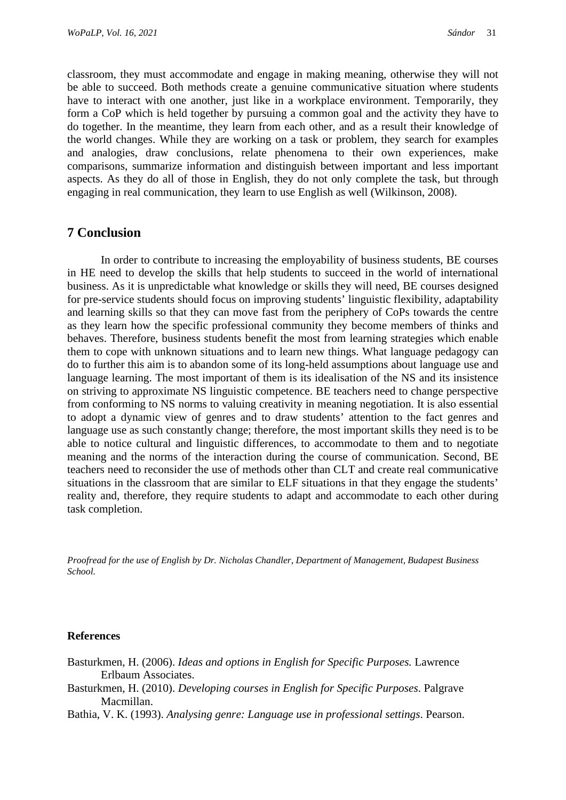classroom, they must accommodate and engage in making meaning, otherwise they will not be able to succeed. Both methods create a genuine communicative situation where students have to interact with one another, just like in a workplace environment. Temporarily, they form a CoP which is held together by pursuing a common goal and the activity they have to do together. In the meantime, they learn from each other, and as a result their knowledge of the world changes. While they are working on a task or problem, they search for examples and analogies, draw conclusions, relate phenomena to their own experiences, make comparisons, summarize information and distinguish between important and less important aspects. As they do all of those in English, they do not only complete the task, but through engaging in real communication, they learn to use English as well (Wilkinson, 2008).

# **7 Conclusion**

In order to contribute to increasing the employability of business students, BE courses in HE need to develop the skills that help students to succeed in the world of international business. As it is unpredictable what knowledge or skills they will need, BE courses designed for pre-service students should focus on improving students' linguistic flexibility, adaptability and learning skills so that they can move fast from the periphery of CoPs towards the centre as they learn how the specific professional community they become members of thinks and behaves. Therefore, business students benefit the most from learning strategies which enable them to cope with unknown situations and to learn new things. What language pedagogy can do to further this aim is to abandon some of its long-held assumptions about language use and language learning. The most important of them is its idealisation of the NS and its insistence on striving to approximate NS linguistic competence. BE teachers need to change perspective from conforming to NS norms to valuing creativity in meaning negotiation. It is also essential to adopt a dynamic view of genres and to draw students' attention to the fact genres and language use as such constantly change; therefore, the most important skills they need is to be able to notice cultural and linguistic differences, to accommodate to them and to negotiate meaning and the norms of the interaction during the course of communication. Second, BE teachers need to reconsider the use of methods other than CLT and create real communicative situations in the classroom that are similar to ELF situations in that they engage the students' reality and, therefore, they require students to adapt and accommodate to each other during task completion.

*Proofread for the use of English by Dr. Nicholas Chandler, Department of Management, Budapest Business School.*

#### **References**

- Basturkmen, H. (2006). *Ideas and options in English for Specific Purposes.* Lawrence Erlbaum Associates.
- Basturkmen, H. (2010). *Developing courses in English for Specific Purposes*. Palgrave Macmillan.
- Bathia, V. K. (1993). *Analysing genre: Language use in professional settings*. Pearson.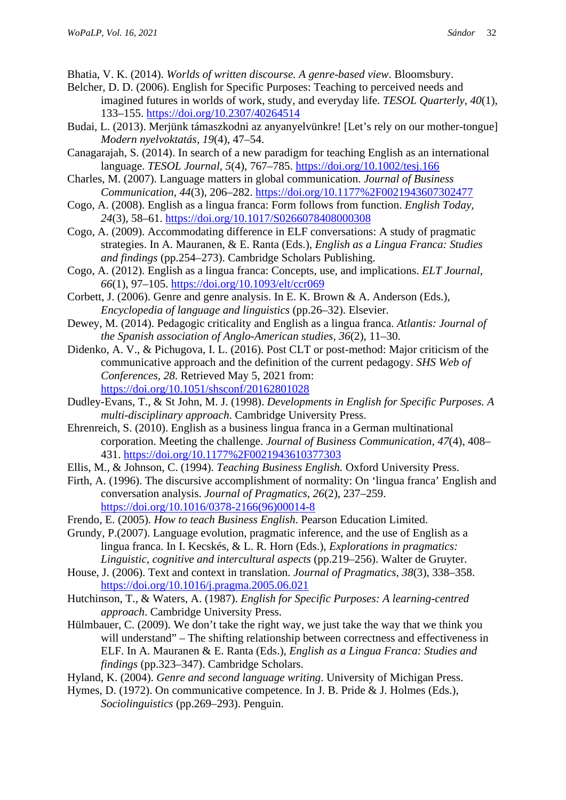Bhatia, V. K. (2014). *Worlds of written discourse. A genre-based view*. Bloomsbury.

- Belcher, D. D. (2006). English for Specific Purposes: Teaching to perceived needs and imagined futures in worlds of work, study, and everyday life. *TESOL Quarterly, 40*(1), 133–155. <https://doi.org/10.2307/40264514>
- Budai, L. (2013). Merjünk támaszkodni az anyanyelvünkre! [Let's rely on our mother-tongue] *Modern nyelvoktatás, 19*(4), 47–54.
- Canagarajah, S. (2014). In search of a new paradigm for teaching English as an international language. *TESOL Journal, 5*(4), 767–785. <https://doi.org/10.1002/tesj.166>
- Charles, M. (2007). Language matters in global communication. *Journal of Business Communication, 44*(3), 206–282. <https://doi.org/10.1177%2F0021943607302477>
- Cogo, A. (2008). English as a lingua franca: Form follows from function. *English Today, 24*(3), 58–61. <https://doi.org/10.1017/S0266078408000308>
- Cogo, A. (2009). Accommodating difference in ELF conversations: A study of pragmatic strategies. In A. Mauranen, & E. Ranta (Eds.), *English as a Lingua Franca: Studies and findings* (pp.254–273). Cambridge Scholars Publishing.
- Cogo, A. (2012). English as a lingua franca: Concepts, use, and implications. *ELT Journal, 66*(1), 97–105. <https://doi.org/10.1093/elt/ccr069>
- Corbett, J. (2006). Genre and genre analysis. In E. K. Brown & A. Anderson (Eds.), *Encyclopedia of language and linguistics* (pp.26–32). Elsevier.
- Dewey, M. (2014). Pedagogic criticality and English as a lingua franca. *Atlantis: Journal of the Spanish association of Anglo-American studies, 36*(2), 11–30.
- Didenko, A. V., & Pichugova, I. L. (2016). Post CLT or post-method: Major criticism of the communicative approach and the definition of the current pedagogy. *SHS Web of Conferences, 28*. Retrieved May 5, 2021 from: <https://doi.org/10.1051/shsconf/20162801028>
- Dudley-Evans, T., & St John, M. J. (1998). *Developments in English for Specific Purposes. A multi-disciplinary approach*. Cambridge University Press.
- Ehrenreich, S. (2010). English as a business lingua franca in a German multinational corporation. Meeting the challenge. *Journal of Business Communication, 47*(4), 408– 431. <https://doi.org/10.1177%2F0021943610377303>
- Ellis, M., & Johnson, C. (1994). *Teaching Business English.* Oxford University Press.
- Firth, A. (1996). The discursive accomplishment of normality: On 'lingua franca' English and conversation analysis. *Journal of Pragmatics, 26*(2), 237–259. [https://doi.org/10.1016/0378-2166\(96\)00014-8](https://doi.org/10.1016/0378-2166(96)00014-8)
- Frendo, E. (2005). *How to teach Business English*. Pearson Education Limited.
- Grundy, P.(2007). Language evolution, pragmatic inference, and the use of English as a lingua franca. In I. Kecskés, & L. R. Horn (Eds.), *Explorations in pragmatics: Linguistic, cognitive and intercultural aspects* (pp.219–256). Walter de Gruyter.
- House, J. (2006). Text and context in translation. *Journal of Pragmatics, 38*(3), 338–358. <https://doi.org/10.1016/j.pragma.2005.06.021>
- Hutchinson, T., & Waters, A. (1987). *English for Specific Purposes: A learning-centred approach*. Cambridge University Press.
- Hülmbauer, C. (2009). We don't take the right way, we just take the way that we think you will understand" – The shifting relationship between correctness and effectiveness in ELF. In A. Mauranen & E. Ranta (Eds.), *English as a Lingua Franca: Studies and findings* (pp.323–347). Cambridge Scholars.
- Hyland, K. (2004). *Genre and second language writing*. University of Michigan Press.
- Hymes, D. (1972). On communicative competence. In J. B. Pride & J. Holmes (Eds.), *Sociolinguistics* (pp.269–293). Penguin.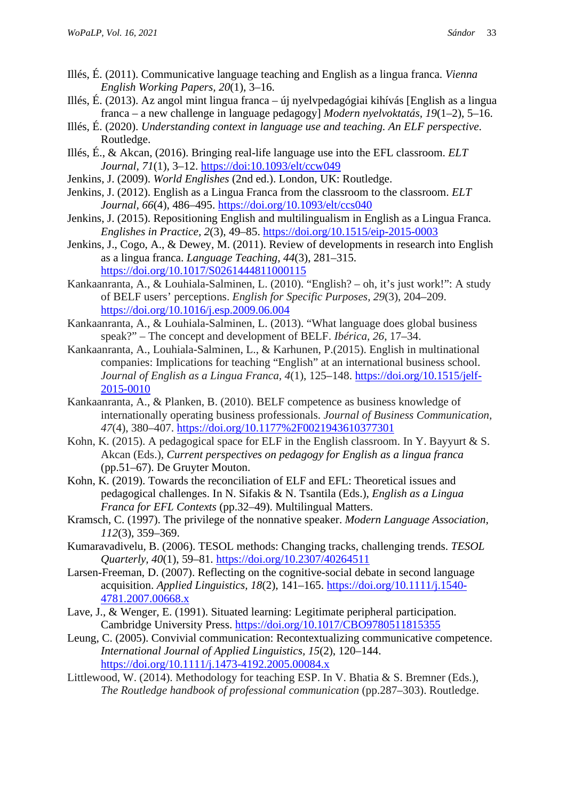- Illés, É. (2011). Communicative language teaching and English as a lingua franca. *Vienna English Working Papers, 20*(1), 3–16.
- Illés, É. (2013). Az angol mint lingua franca új nyelvpedagógiai kihívás [English as a lingua franca – a new challenge in language pedagogy] *Modern nyelvoktatás, 19*(1–2), 5–16.
- Illés, É. (2020). *Understanding context in language use and teaching. An ELF perspective*. Routledge.
- Illés, É., & Akcan, (2016). Bringing real-life language use into the EFL classroom. *ELT Journal, 71*(1), 3–12. <https://doi:10.1093/elt/ccw049>
- Jenkins, J. (2009). *World Englishes* (2nd ed.). London, UK: Routledge.
- Jenkins, J. (2012). English as a Lingua Franca from the classroom to the classroom. *ELT Journal, 66*(4), 486–495. <https://doi.org/10.1093/elt/ccs040>
- Jenkins, J. (2015). Repositioning English and multilingualism in English as a Lingua Franca. *Englishes in Practice, 2*(3), 49–85. <https://doi.org/10.1515/eip-2015-0003>
- Jenkins, J., Cogo, A., & Dewey, M. (2011). Review of developments in research into English as a lingua franca. *Language Teaching, 44*(3), 281–315. <https://doi.org/10.1017/S0261444811000115>
- Kankaanranta, A., & Louhiala-Salminen, L. (2010). "English? oh, it's just work!": A study of BELF users' perceptions. *English for Specific Purposes, 29*(3), 204–209. <https://doi.org/10.1016/j.esp.2009.06.004>
- Kankaanranta, A., & Louhiala-Salminen, L. (2013). "What language does global business speak?" – The concept and development of BELF. *Ibérica, 26*, 17–34.
- Kankaanranta, A., Louhiala-Salminen, L., & Karhunen, P.(2015). English in multinational companies: Implications for teaching "English" at an international business school. *Journal of English as a Lingua Franca, 4*(1), 125–148. [https://doi.org/10.1515/jelf-](https://doi.org/10.1515/jelf-2015-0010)[2015-0010](https://doi.org/10.1515/jelf-2015-0010)
- Kankaanranta, A., & Planken, B. (2010). BELF competence as business knowledge of internationally operating business professionals. *Journal of Business Communication, 47*(4), 380–407. <https://doi.org/10.1177%2F0021943610377301>
- Kohn, K. (2015). A pedagogical space for ELF in the English classroom. In Y. Bayyurt & S. Akcan (Eds.), *Current perspectives on pedagogy for English as a lingua franca* (pp.51–67). De Gruyter Mouton.
- Kohn, K. (2019). Towards the reconciliation of ELF and EFL: Theoretical issues and pedagogical challenges. In N. Sifakis & N. Tsantila (Eds.), *English as a Lingua Franca for EFL Contexts* (pp.32–49). Multilingual Matters.
- Kramsch, C. (1997). The privilege of the nonnative speaker. *Modern Language Association, 112*(3), 359–369.
- Kumaravadivelu, B. (2006). TESOL methods: Changing tracks, challenging trends. *TESOL Quarterly, 40*(1), 59–81. <https://doi.org/10.2307/40264511>
- Larsen-Freeman, D. (2007). Reflecting on the cognitive-social debate in second language acquisition. *Applied Linguistics, 18*(2), 141–165. [https://doi.org/10.1111/j.1540-](https://doi.org/10.1111/j.1540-4781.2007.00668.x) [4781.2007.00668.x](https://doi.org/10.1111/j.1540-4781.2007.00668.x)
- Lave, J., & Wenger, E. (1991). Situated learning: Legitimate peripheral participation. Cambridge University Press.<https://doi.org/10.1017/CBO9780511815355>
- Leung, C. (2005). Convivial communication: Recontextualizing communicative competence. *International Journal of Applied Linguistics, 15*(2), 120–144. <https://doi.org/10.1111/j.1473-4192.2005.00084.x>
- Littlewood, W. (2014). Methodology for teaching ESP. In V. Bhatia & S. Bremner (Eds.), *The Routledge handbook of professional communication* (pp.287–303). Routledge.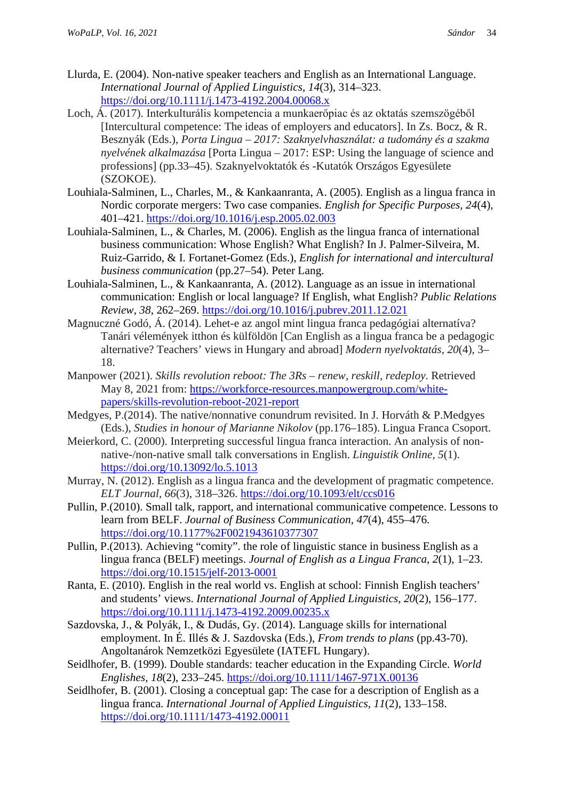- Llurda, E. (2004). Non-native speaker teachers and English as an International Language. *International Journal of Applied Linguistics, 14*(3), 314–323. <https://doi.org/10.1111/j.1473-4192.2004.00068.x>
- Loch, Á. (2017). Interkulturális kompetencia a munkaerőpiac és az oktatás szemszögéből [Intercultural competence: The ideas of employers and educators]. In Zs. Bocz, & R. Besznyák (Eds.), *Porta Lingua – 2017: Szaknyelvhasználat: a tudomány és a szakma nyelvének alkalmazása* [Porta Lingua – 2017: ESP: Using the language of science and professions] (pp*.*33–45). Szaknyelvoktatók és -Kutatók Országos Egyesülete (SZOKOE).
- Louhiala-Salminen, L., Charles, M., & Kankaanranta, A. (2005). English as a lingua franca in Nordic corporate mergers: Two case companies. *English for Specific Purposes, 24*(4), 401–421. <https://doi.org/10.1016/j.esp.2005.02.003>
- Louhiala-Salminen, L., & Charles, M. (2006). English as the lingua franca of international business communication: Whose English? What English? In J. Palmer-Silveira, M. Ruiz-Garrido, & I. Fortanet-Gomez (Eds.), *English for international and intercultural business communication* (pp.27–54). Peter Lang.
- Louhiala-Salminen, L., & Kankaanranta, A. (2012). Language as an issue in international communication: English or local language? If English, what English? *Public Relations Review, 38*, 262–269. <https://doi.org/10.1016/j.pubrev.2011.12.021>
- Magnuczné Godó, Á. (2014). Lehet-e az angol mint lingua franca pedagógiai alternatíva? Tanári vélemények itthon és külföldön [Can English as a lingua franca be a pedagogic alternative? Teachers' views in Hungary and abroad] *Modern nyelvoktatás, 20*(4), 3– 18.
- Manpower (2021). *Skills revolution reboot: The 3Rs – renew, reskill, redeploy*. Retrieved May 8, 2021 from: [https://workforce-resources.manpowergroup.com/white](https://workforce-resources.manpowergroup.com/white-papers/skills-revolution-reboot-2021-report)[papers/skills-revolution-reboot-2021-report](https://workforce-resources.manpowergroup.com/white-papers/skills-revolution-reboot-2021-report)
- Medgyes, P.(2014). The native/nonnative conundrum revisited. In J. Horváth & P.Medgyes (Eds.), *Studies in honour of Marianne Nikolov* (pp.176–185). Lingua Franca Csoport.
- Meierkord, C. (2000). Interpreting successful lingua franca interaction. An analysis of nonnative-/non-native small talk conversations in English. *Linguistik Online, 5*(1). <https://doi.org/10.13092/lo.5.1013>
- Murray, N. (2012). English as a lingua franca and the development of pragmatic competence. *ELT Journal, 66*(3), 318–326. <https://doi.org/10.1093/elt/ccs016>
- Pullin, P.(2010). Small talk, rapport, and international communicative competence. Lessons to learn from BELF. *Journal of Business Communication, 47*(4), 455–476. <https://doi.org/10.1177%2F0021943610377307>
- Pullin, P.(2013). Achieving "comity". the role of linguistic stance in business English as a lingua franca (BELF) meetings. *Journal of English as a Lingua Franca, 2*(1), 1–23. <https://doi.org/10.1515/jelf-2013-0001>
- Ranta, E. (2010). English in the real world vs. English at school: Finnish English teachers' and students' views. *International Journal of Applied Linguistics, 20*(2), 156–177. <https://doi.org/10.1111/j.1473-4192.2009.00235.x>
- Sazdovska, J., & Polyák, I., & Dudás, Gy. (2014). Language skills for international employment. In É. Illés & J. Sazdovska (Eds.), *From trends to plans* (pp.43-70). Angoltanárok Nemzetközi Egyesülete (IATEFL Hungary).
- Seidlhofer, B. (1999). Double standards: teacher education in the Expanding Circle. *World Englishes, 18*(2), 233–245. <https://doi.org/10.1111/1467-971X.00136>
- Seidlhofer, B. (2001). Closing a conceptual gap: The case for a description of English as a lingua franca. *International Journal of Applied Linguistics, 11*(2), 133–158. <https://doi.org/10.1111/1473-4192.00011>